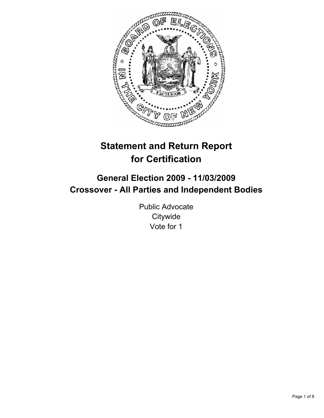

# **Statement and Return Report for Certification**

## **General Election 2009 - 11/03/2009 Crossover - All Parties and Independent Bodies**

Public Advocate **Citywide** Vote for 1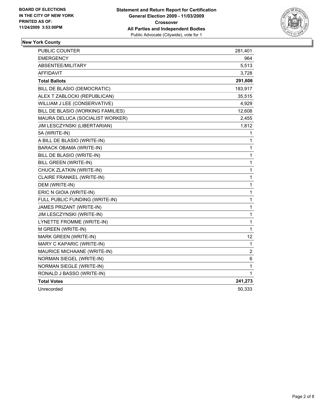

## **New York County**

| <b>PUBLIC COUNTER</b>             | 281,401        |
|-----------------------------------|----------------|
| EMERGENCY                         | 964            |
| ABSENTEE/MILITARY                 | 5,513          |
| <b>AFFIDAVIT</b>                  | 3,728          |
| <b>Total Ballots</b>              | 291,606        |
| BILL DE BLASIO (DEMOCRATIC)       | 183,917        |
| ALEX T ZABLOCKI (REPUBLICAN)      | 35,515         |
| WILLIAM J LEE (CONSERVATIVE)      | 4,929          |
| BILL DE BLASIO (WORKING FAMILIES) | 12,608         |
| MAURA DELUCA (SOCIALIST WORKER)   | 2,455          |
| JIM LESCZYNSKI (LIBERTARIAN)      | 1,812          |
| 5A (WRITE-IN)                     | 1              |
| A BILL DE BLASIO (WRITE-IN)       | 1              |
| <b>BARACK OBAMA (WRITE-IN)</b>    | $\mathbf{1}$   |
| BILL DE BLASIO (WRITE-IN)         | $\mathbf{1}$   |
| BILL GREEN (WRITE-IN)             | $\mathbf{1}$   |
| CHUCK ZLATKIN (WRITE-IN)          | $\mathbf{1}$   |
| CLAIRE FRANKEL (WRITE-IN)         | $\mathbf{1}$   |
| DEM (WRITE-IN)                    | 1              |
| ERIC N GIOIA (WRITE-IN)           | $\mathbf{1}$   |
| FULL PUBLIC FUNDING (WRITE-IN)    | 1              |
| JAMES PRIZANT (WRITE-IN)          | 1              |
| JIM LESCZYNSKI (WRITE-IN)         | 1              |
| LYNETTE FROMME (WRITE-IN)         | $\mathbf{1}$   |
| M GREEN (WRITE-IN)                | $\mathbf{1}$   |
| <b>MARK GREEN (WRITE-IN)</b>      | 12             |
| MARY C KAPARIC (WRITE-IN)         | $\mathbf{1}$   |
| MAURICE MICHAANE (WRITE-IN)       | $\overline{c}$ |
| NORMAN SIEGEL (WRITE-IN)          | 6              |
| NORMAN SIEGLE (WRITE-IN)          | 1              |
| RONALD J BASSO (WRITE-IN)         | 1              |
| <b>Total Votes</b>                | 241,273        |
| Unrecorded                        | 50,333         |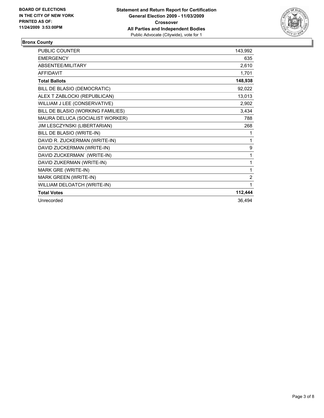

## **Bronx County**

| <b>PUBLIC COUNTER</b>             | 143,992        |
|-----------------------------------|----------------|
| <b>EMERGENCY</b>                  | 635            |
| ABSENTEE/MILITARY                 | 2,610          |
| <b>AFFIDAVIT</b>                  | 1,701          |
| <b>Total Ballots</b>              | 148,938        |
| BILL DE BLASIO (DEMOCRATIC)       | 92,022         |
| ALEX T ZABLOCKI (REPUBLICAN)      | 13,013         |
| WILLIAM J LEE (CONSERVATIVE)      | 2,902          |
| BILL DE BLASIO (WORKING FAMILIES) | 3,434          |
| MAURA DELUCA (SOCIALIST WORKER)   | 788            |
| JIM LESCZYNSKI (LIBERTARIAN)      | 268            |
| BILL DE BLASIO (WRITE-IN)         | 1              |
| DAVID R. ZUCKERMAN (WRITE-IN)     | 1              |
| DAVID ZUCKERMAN (WRITE-IN)        | 9              |
| DAVID ZUCKERMAN' (WRITE-IN)       | 1              |
| DAVID ZUKERMAN (WRITE-IN)         | 1              |
| MARK GRE (WRITE-IN)               | 1              |
| MARK GREEN (WRITE-IN)             | $\overline{2}$ |
| WILLIAM DELOATCH (WRITE-IN)       | 1              |
| <b>Total Votes</b>                | 112,444        |
| Unrecorded                        | 36,494         |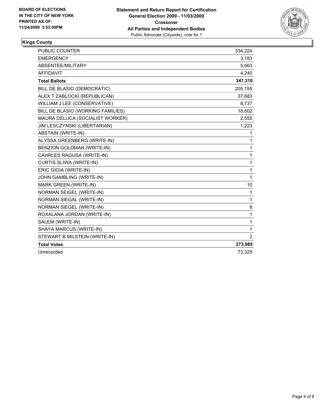

#### **Kings County**

| <b>PUBLIC COUNTER</b>             | 334,224 |
|-----------------------------------|---------|
| <b>EMERGENCY</b>                  | 3,183   |
| ABSENTEE/MILITARY                 | 5,663   |
| <b>AFFIDAVIT</b>                  | 4,240   |
| <b>Total Ballots</b>              | 347,310 |
| BILL DE BLASIO (DEMOCRATIC)       | 205,155 |
| ALEX T ZABLOCKI (REPUBLICAN)      | 37,683  |
| WILLIAM J LEE (CONSERVATIVE)      | 8,737   |
| BILL DE BLASIO (WORKING FAMILIES) | 18,602  |
| MAURA DELUCA (SOCIALIST WORKER)   | 2,555   |
| JIM LESCZYNSKI (LIBERTARIAN)      | 1,223   |
| ABSTAIN (WRITE-IN)                | 1       |
| ALYSSA GREENBERG (WRITE-IN)       | 1       |
| BENZION GOLDMAN (WRITE-IN)        | 1       |
| CAHRLES RAGUSA (WRITE-IN)         | 1       |
| <b>CURTIS SLIWA (WRITE-IN)</b>    | 1       |
| ERIC GIOIA (WRITE-IN)             | 1       |
| JOHN GAMBLING (WRITE-IN)          | 1       |
| <b>MARK GREEN (WRITE-IN)</b>      | 10      |
| NORMAN SEIGEL (WRITE-IN)          | 1       |
| NORMAN SIEGAL (WRITE-IN)          | 1       |
| NORMAN SIEGEL (WRITE-IN)          | 6       |
| ROXALANA JORDAN (WRITE-IN)        | 1       |
| SALEM (WRITE-IN)                  | 1       |
| SHAYA MARCUS (WRITE-IN)           | 1       |
| STEWART B MILSTEIN (WRITE-IN)     | 2       |
| <b>Total Votes</b>                | 273,985 |
| Unrecorded                        | 73,325  |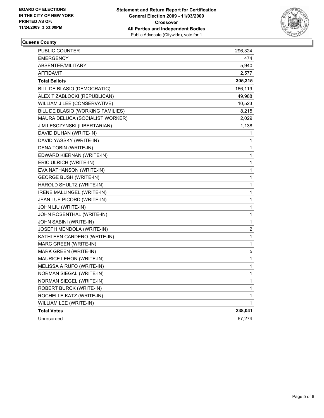

#### **Queens County**

| NORMAN SIEGEL (WRITE-IN)          | 1            |
|-----------------------------------|--------------|
| NORMAN SIEGAL (WRITE-IN)          | 1            |
| MELISSA A RUFO (WRITE-IN)         | 1            |
| MAURICE LEHON (WRITE-IN)          | 1            |
| <b>MARK GREEN (WRITE-IN)</b>      | 5            |
| MARC GREEN (WRITE-IN)             | 1            |
| KATHLEEN CARDERO (WRITE-IN)       | 1            |
| JOSEPH MENDOLA (WRITE-IN)         | 2            |
| JOHN SABINI (WRITE-IN)            | 1            |
| JOHN ROSENTHAL (WRITE-IN)         | 1            |
| JOHN LIU (WRITE-IN)               | 1            |
| JEAN LUE PICORD (WRITE-IN)        | 1            |
| IRENE MALLINGEL (WRITE-IN)        | 1            |
| HAROLD SHULTZ (WRITE-IN)          | 1            |
| <b>GEORGE BUSH (WRITE-IN)</b>     | 1            |
| EVA NATHANSON (WRITE-IN)          | 1            |
| ERIC ULRICH (WRITE-IN)            | $\mathbf{1}$ |
| EDWARD KIERNAN (WRITE-IN)         | 1            |
| DENA TOBIN (WRITE-IN)             | 1            |
| DAVID YASSKY (WRITE-IN)           | 1            |
| DAVID DUHAN (WRITE-IN)            | 1            |
| JIM LESCZYNSKI (LIBERTARIAN)      | 1,138        |
| MAURA DELUCA (SOCIALIST WORKER)   | 2,029        |
| BILL DE BLASIO (WORKING FAMILIES) | 8,215        |
| WILLIAM J LEE (CONSERVATIVE)      | 10,523       |
| ALEX T ZABLOCKI (REPUBLICAN)      | 49,988       |
| BILL DE BLASIO (DEMOCRATIC)       | 166,119      |
| <b>Total Ballots</b>              | 305,315      |
| <b>AFFIDAVIT</b>                  | 2,577        |
| <b>ABSENTEE/MILITARY</b>          | 5,940        |
| <b>EMERGENCY</b>                  | 474          |
| PUBLIC COUNTER                    | 296,324      |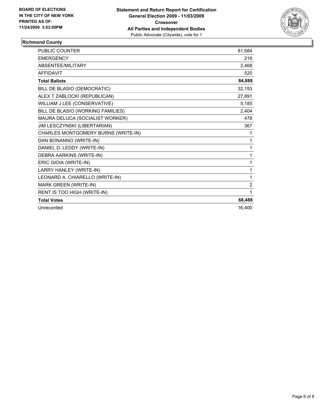

## **Richmond County**

| <b>PUBLIC COUNTER</b>               | 81,684         |
|-------------------------------------|----------------|
| <b>EMERGENCY</b>                    | 216            |
| <b>ABSENTEE/MILITARY</b>            | 2,468          |
| <b>AFFIDAVIT</b>                    | 520            |
| <b>Total Ballots</b>                | 84,888         |
| BILL DE BLASIO (DEMOCRATIC)         | 32,153         |
| ALEX T ZABLOCKI (REPUBLICAN)        | 27,891         |
| WILLIAM J LEE (CONSERVATIVE)        | 5,185          |
| BILL DE BLASIO (WORKING FAMILIES)   | 2,404          |
| MAURA DELUCA (SOCIALIST WORKER)     | 478            |
| JIM LESCZYNSKI (LIBERTARIAN)        | 367            |
| CHARLES MONTGOMERY BURNS (WRITE-IN) | 1              |
| DAN BONANNO (WRITE-IN)              | 1              |
| DANIEL D. LEDDY (WRITE-IN)          | 1              |
| DEBRA AARKINS (WRITE-IN)            | 1              |
| ERIC GIOIA (WRITE-IN)               | 1              |
| LARRY HANLEY (WRITE-IN)             | 1              |
| LEONARD A. CHIARELLO (WRITE-IN)     | 1              |
| MARK GREEN (WRITE-IN)               | $\overline{2}$ |
| RENT IS TOO HIGH (WRITE-IN)         | 1              |
| <b>Total Votes</b>                  | 68,488         |
| Unrecorded                          | 16,400         |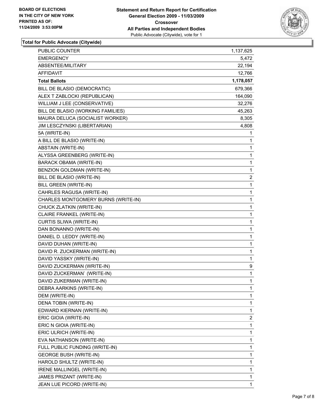

#### **Total for Public Advocate (Citywide)**

| PUBLIC COUNTER                      | 1,137,625 |
|-------------------------------------|-----------|
| <b>EMERGENCY</b>                    | 5,472     |
| ABSENTEE/MILITARY                   | 22,194    |
| <b>AFFIDAVIT</b>                    | 12,766    |
| <b>Total Ballots</b>                | 1,178,057 |
| BILL DE BLASIO (DEMOCRATIC)         | 679,366   |
| ALEX T ZABLOCKI (REPUBLICAN)        | 164,090   |
| WILLIAM J LEE (CONSERVATIVE)        | 32,276    |
| BILL DE BLASIO (WORKING FAMILIES)   | 45,263    |
| MAURA DELUCA (SOCIALIST WORKER)     | 8,305     |
| JIM LESCZYNSKI (LIBERTARIAN)        | 4,808     |
| 5A (WRITE-IN)                       | 1         |
| A BILL DE BLASIO (WRITE-IN)         | 1         |
| ABSTAIN (WRITE-IN)                  | 1         |
| ALYSSA GREENBERG (WRITE-IN)         | 1         |
| <b>BARACK OBAMA (WRITE-IN)</b>      | 1         |
| BENZION GOLDMAN (WRITE-IN)          | 1         |
| BILL DE BLASIO (WRITE-IN)           | 2         |
| <b>BILL GREEN (WRITE-IN)</b>        | 1         |
| CAHRLES RAGUSA (WRITE-IN)           | 1         |
| CHARLES MONTGOMERY BURNS (WRITE-IN) | 1         |
| CHUCK ZLATKIN (WRITE-IN)            | 1         |
| CLAIRE FRANKEL (WRITE-IN)           | 1         |
| CURTIS SLIWA (WRITE-IN)             | 1         |
| DAN BONANNO (WRITE-IN)              | 1         |
| DANIEL D. LEDDY (WRITE-IN)          | 1         |
| DAVID DUHAN (WRITE-IN)              | 1         |
| DAVID R. ZUCKERMAN (WRITE-IN)       | 1         |
| DAVID YASSKY (WRITE-IN)             | 1         |
| DAVID ZUCKERMAN (WRITE-IN)          | 9         |
| DAVID ZUCKERMAN' (WRITE-IN)         | 1         |
| DAVID ZUKERMAN (WRITE-IN)           | 1         |
| DEBRA AARKINS (WRITE-IN)            | 1         |
| DEM (WRITE-IN)                      | 1         |
| DENA TOBIN (WRITE-IN)               | 1         |
| EDWARD KIERNAN (WRITE-IN)           | 1         |
| ERIC GIOIA (WRITE-IN)               | 2         |
| ERIC N GIOIA (WRITE-IN)             | 1         |
| ERIC ULRICH (WRITE-IN)              | 1         |
| EVA NATHANSON (WRITE-IN)            | 1         |
| FULL PUBLIC FUNDING (WRITE-IN)      | 1         |
| <b>GEORGE BUSH (WRITE-IN)</b>       | 1         |
| HAROLD SHULTZ (WRITE-IN)            | 1         |
| IRENE MALLINGEL (WRITE-IN)          | 1         |
| JAMES PRIZANT (WRITE-IN)            | 1         |
| JEAN LUE PICORD (WRITE-IN)          | 1         |